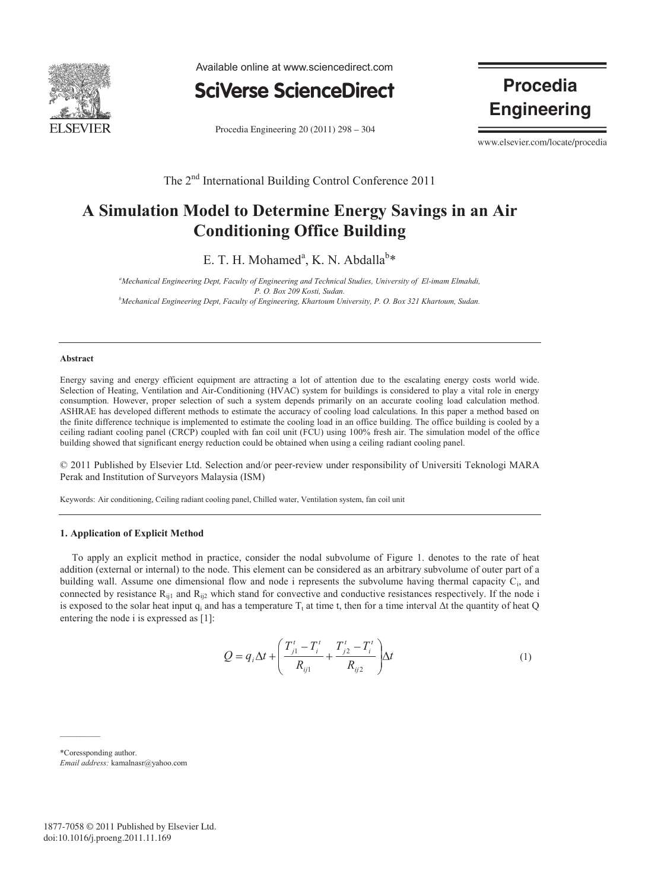

Available online at www.sciencedirect.com



Procedia Engineering 20 (2011) 298 – 304

**Procedia Engineering** 

www.elsevier.com/locate/procedia

The 2<sup>nd</sup> International Building Control Conference 2011

## **A Simulation Model to Determine Energy Savings in an Air Conditioning Office Building**

E. T. H. Mohamed<sup>a</sup>, K. N. Abdalla<sup>b\*</sup>

*a Mechanical Engineering Dept, Faculty of Engineering and Technical Studies, University of El-imam Elmahdi, P. O. Box 209 Kosti, Sudan. b Mechanical Engineering Dept, Faculty of Engineering, Khartoum University, P. O. Box 321 Khartoum, Sudan.* 

#### **Abstract**

Energy saving and energy efficient equipment are attracting a lot of attention due to the escalating energy costs world wide. Selection of Heating, Ventilation and Air-Conditioning (HVAC) system for buildings is considered to play a vital role in energy consumption. However, proper selection of such a system depends primarily on an accurate cooling load calculation method. ASHRAE has developed different methods to estimate the accuracy of cooling load calculations. In this paper a method based on the finite difference technique is implemented to estimate the cooling load in an office building. The office building is cooled by a ceiling radiant cooling panel (CRCP) coupled with fan coil unit (FCU) using 100% fresh air. The simulation model of the office building showed that significant energy reduction could be obtained when using a ceiling radiant cooling panel.

© 2011 Published by Elsevier Ltd. Selection and/or peer-review under responsibility of Universiti Teknologi MARA Perak and Institution of Surveyors Malaysia (ISM)

Keywords: Air conditioning, Ceiling radiant cooling panel, Chilled water, Ventilation system, fan coil unit

#### **1. Application of Explicit Method**

To apply an explicit method in practice, consider the nodal subvolume of Figure 1. denotes to the rate of heat addition (external or internal) to the node. This element can be considered as an arbitrary subvolume of outer part of a building wall. Assume one dimensional flow and node i represents the subvolume having thermal capacity Ci, and connected by resistance  $R_{i1}$  and  $R_{i2}$  which stand for convective and conductive resistances respectively. If the node i is exposed to the solar heat input  $q_i$  and has a temperature  $T_t$  at time t, then for a time interval  $\Delta t$  the quantity of heat Q entering the node i is expressed as [1]:

$$
Q = q_i \Delta t + \left(\frac{T'_{j1} - T'_i}{R_{ij1}} + \frac{T'_{j2} - T'_i}{R_{ij2}}\right) \Delta t
$$
 (1)

\*Coressponding author. *Email address:* kamalnasr@yahoo.com

 $\mathcal{L}_\text{max}$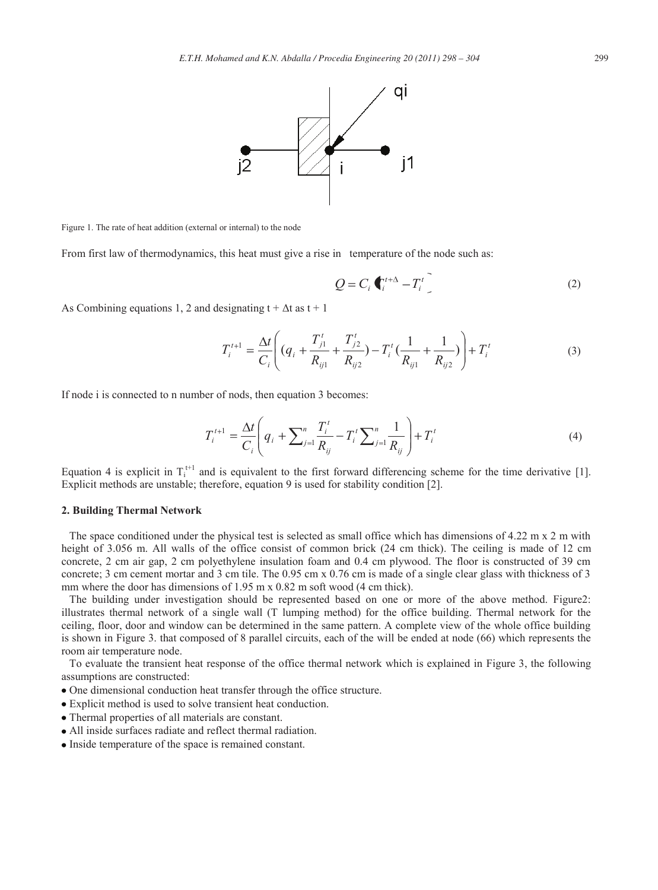

Figure 1. The rate of heat addition (external or internal) to the node

From first law of thermodynamics, this heat must give a rise in temperature of the node such as:

$$
Q = C_i \, \mathbf{C}_i^{t+\Delta} - T_i^t \tag{2}
$$

As Combining equations 1, 2 and designating  $t + \Delta t$  as  $t + 1$ 

$$
T_i^{t+1} = \frac{\Delta t}{C_i} \left( (q_i + \frac{T_{j1}^t}{R_{ij1}} + \frac{T_{j2}^t}{R_{ij2}}) - T_i^t \left( \frac{1}{R_{ij1}} + \frac{1}{R_{ij2}} \right) \right) + T_i^t
$$
 (3)

If node i is connected to n number of nods, then equation 3 becomes:

$$
T_i^{t+1} = \frac{\Delta t}{C_i} \left( q_i + \sum_{j=1}^n \frac{T_i^t}{R_{ij}} - T_i^t \sum_{j=1}^n \frac{1}{R_{ij}} \right) + T_i^t \tag{4}
$$

Equation 4 is explicit in  $T_i^{t+1}$  and is equivalent to the first forward differencing scheme for the time derivative [1]. Explicit methods are unstable; therefore, equation 9 is used for stability condition [2].

### **2. Building Thermal Network**

The space conditioned under the physical test is selected as small office which has dimensions of 4.22 m x 2 m with height of 3.056 m. All walls of the office consist of common brick (24 cm thick). The ceiling is made of 12 cm concrete, 2 cm air gap, 2 cm polyethylene insulation foam and 0.4 cm plywood. The floor is constructed of 39 cm concrete; 3 cm cement mortar and 3 cm tile. The 0.95 cm x 0.76 cm is made of a single clear glass with thickness of 3 mm where the door has dimensions of 1.95 m x 0.82 m soft wood (4 cm thick).

The building under investigation should be represented based on one or more of the above method. Figure2: illustrates thermal network of a single wall (T lumping method) for the office building. Thermal network for the ceiling, floor, door and window can be determined in the same pattern. A complete view of the whole office building is shown in Figure 3. that composed of 8 parallel circuits, each of the will be ended at node (66) which represents the room air temperature node.

To evaluate the transient heat response of the office thermal network which is explained in Figure 3, the following assumptions are constructed:

- One dimensional conduction heat transfer through the office structure.
- Explicit method is used to solve transient heat conduction.
- Thermal properties of all materials are constant.
- All inside surfaces radiate and reflect thermal radiation.
- Inside temperature of the space is remained constant.